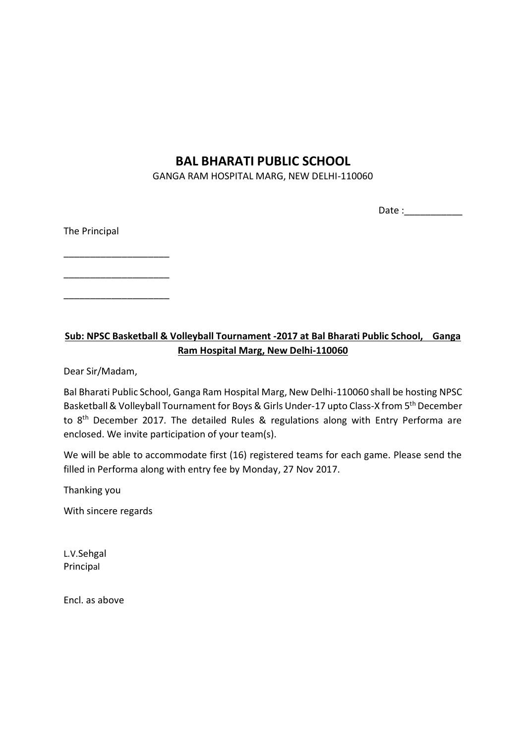## **BAL BHARATI PUBLIC SCHOOL**

GANGA RAM HOSPITAL MARG, NEW DELHI-110060

Date :

The Principal

\_\_\_\_\_\_\_\_\_\_\_\_\_\_\_\_\_\_\_\_

\_\_\_\_\_\_\_\_\_\_\_\_\_\_\_\_\_\_\_\_

\_\_\_\_\_\_\_\_\_\_\_\_\_\_\_\_\_\_\_\_

## **Sub: NPSC Basketball & Volleyball Tournament -2017 at Bal Bharati Public School, Ganga Ram Hospital Marg, New Delhi-110060**

Dear Sir/Madam,

Bal Bharati Public School, Ganga Ram Hospital Marg, New Delhi-110060 shall be hosting NPSC Basketball & Volleyball Tournament for Boys & Girls Under-17 upto Class-X from 5<sup>th</sup> December to 8<sup>th</sup> December 2017. The detailed Rules & regulations along with Entry Performa are enclosed. We invite participation of your team(s).

We will be able to accommodate first (16) registered teams for each game. Please send the filled in Performa along with entry fee by Monday, 27 Nov 2017.

Thanking you

With sincere regards

L.V.Sehgal Principal

Encl. as above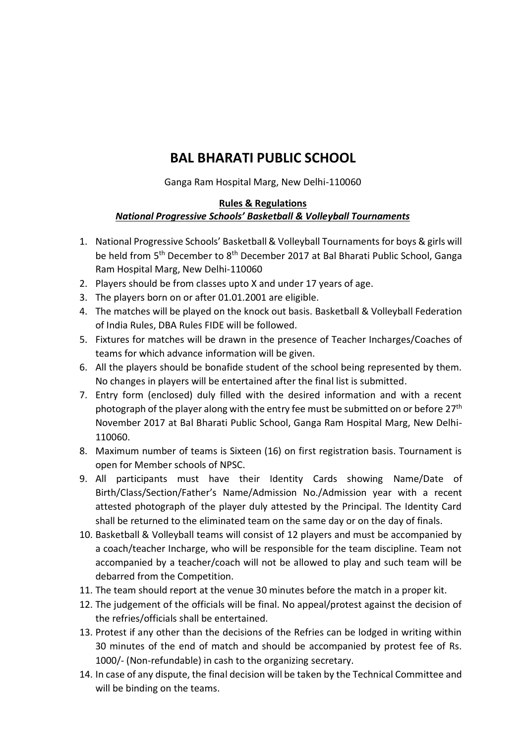# **BAL BHARATI PUBLIC SCHOOL**

Ganga Ram Hospital Marg, New Delhi-110060

### **Rules & Regulations** *National Progressive Schools' Basketball & Volleyball Tournaments*

- 1. National Progressive Schools' Basketball & Volleyball Tournaments for boys & girls will be held from 5<sup>th</sup> December to 8<sup>th</sup> December 2017 at Bal Bharati Public School, Ganga Ram Hospital Marg, New Delhi-110060
- 2. Players should be from classes upto X and under 17 years of age.
- 3. The players born on or after 01.01.2001 are eligible.
- 4. The matches will be played on the knock out basis. Basketball & Volleyball Federation of India Rules, DBA Rules FIDE will be followed.
- 5. Fixtures for matches will be drawn in the presence of Teacher Incharges/Coaches of teams for which advance information will be given.
- 6. All the players should be bonafide student of the school being represented by them. No changes in players will be entertained after the final list is submitted.
- 7. Entry form (enclosed) duly filled with the desired information and with a recent photograph of the player along with the entry fee must be submitted on or before 27<sup>th</sup> November 2017 at Bal Bharati Public School, Ganga Ram Hospital Marg, New Delhi-110060.
- 8. Maximum number of teams is Sixteen (16) on first registration basis. Tournament is open for Member schools of NPSC.
- 9. All participants must have their Identity Cards showing Name/Date of Birth/Class/Section/Father's Name/Admission No./Admission year with a recent attested photograph of the player duly attested by the Principal. The Identity Card shall be returned to the eliminated team on the same day or on the day of finals.
- 10. Basketball & Volleyball teams will consist of 12 players and must be accompanied by a coach/teacher Incharge, who will be responsible for the team discipline. Team not accompanied by a teacher/coach will not be allowed to play and such team will be debarred from the Competition.
- 11. The team should report at the venue 30 minutes before the match in a proper kit.
- 12. The judgement of the officials will be final. No appeal/protest against the decision of the refries/officials shall be entertained.
- 13. Protest if any other than the decisions of the Refries can be lodged in writing within 30 minutes of the end of match and should be accompanied by protest fee of Rs. 1000/- (Non-refundable) in cash to the organizing secretary.
- 14. In case of any dispute, the final decision will be taken by the Technical Committee and will be binding on the teams.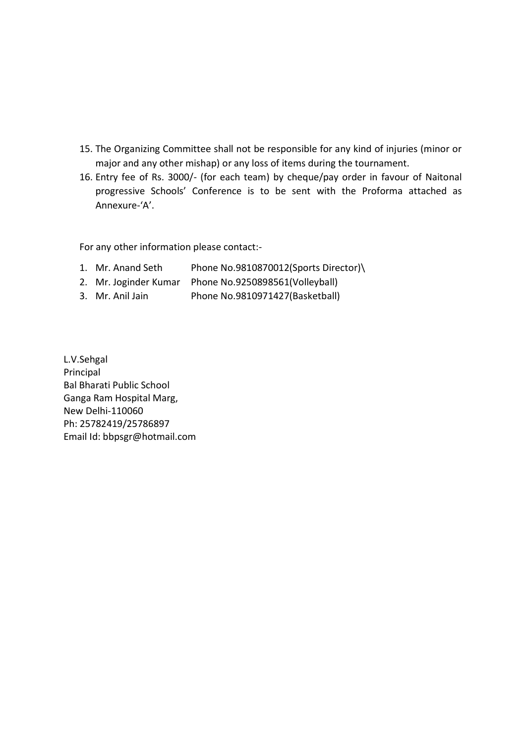- 15. The Organizing Committee shall not be responsible for any kind of injuries (minor or major and any other mishap) or any loss of items during the tournament.
- 16. Entry fee of Rs. 3000/- (for each team) by cheque/pay order in favour of Naitonal progressive Schools' Conference is to be sent with the Proforma attached as Annexure-'A'.

For any other information please contact:-

- 1. Mr. Anand Seth Phone No.9810870012(Sports Director)\
- 2. Mr. Joginder Kumar Phone No.9250898561(Volleyball)
- 3. Mr. Anil Jain Phone No.9810971427(Basketball)

L.V.Sehgal Principal Bal Bharati Public School Ganga Ram Hospital Marg, New Delhi-110060 Ph: 25782419/25786897 Email Id: bbpsgr@hotmail.com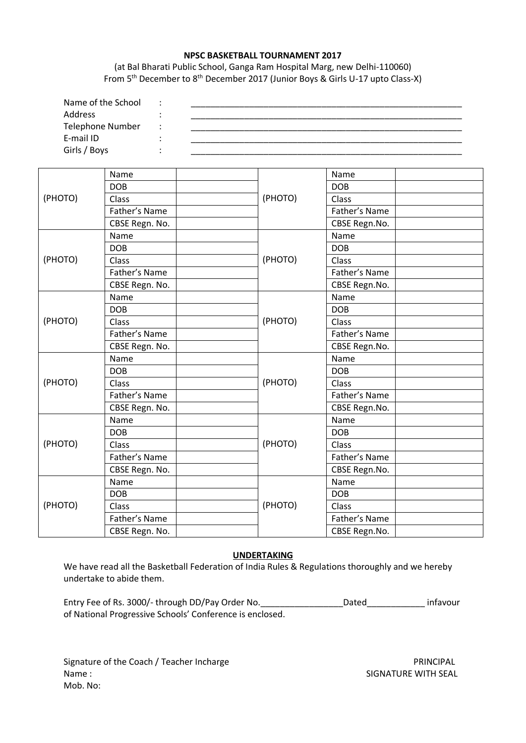#### **NPSC BASKETBALL TOURNAMENT 2017**

(at Bal Bharati Public School, Ganga Ram Hospital Marg, new Delhi-110060) From 5th December to 8th December 2017 (Junior Boys & Girls U-17 upto Class-X)

| Name of the School      |  |  |
|-------------------------|--|--|
| <b>Address</b>          |  |  |
| <b>Telephone Number</b> |  |  |
| E-mail ID               |  |  |
| Girls / Boys            |  |  |

| (PHOTO) | Name           |         | Name          |  |
|---------|----------------|---------|---------------|--|
|         | <b>DOB</b>     |         | <b>DOB</b>    |  |
|         | Class          | (PHOTO) | Class         |  |
|         | Father's Name  |         | Father's Name |  |
|         | CBSE Regn. No. |         | CBSE Regn.No. |  |
|         | Name           |         | Name          |  |
| (PHOTO) | <b>DOB</b>     |         | <b>DOB</b>    |  |
|         | Class          | (PHOTO) | Class         |  |
|         | Father's Name  |         | Father's Name |  |
|         | CBSE Regn. No. |         | CBSE Regn.No. |  |
| (PHOTO) | Name           |         | Name          |  |
|         | <b>DOB</b>     |         | <b>DOB</b>    |  |
|         | Class          | (PHOTO) | Class         |  |
|         | Father's Name  |         | Father's Name |  |
|         | CBSE Regn. No. |         | CBSE Regn.No. |  |
|         | Name           |         | Name          |  |
|         | <b>DOB</b>     |         | <b>DOB</b>    |  |
| (PHOTO) | Class          | (PHOTO) | Class         |  |
|         | Father's Name  |         | Father's Name |  |
|         | CBSE Regn. No. |         | CBSE Regn.No. |  |
| (PHOTO) | Name           |         | Name          |  |
|         | <b>DOB</b>     |         | <b>DOB</b>    |  |
|         | Class          | (PHOTO) | Class         |  |
|         | Father's Name  |         | Father's Name |  |
|         | CBSE Regn. No. |         | CBSE Regn.No. |  |
| (PHOTO) | Name           |         | Name          |  |
|         | <b>DOB</b>     |         | <b>DOB</b>    |  |
|         | Class          | (PHOTO) | Class         |  |
|         | Father's Name  |         | Father's Name |  |
|         | CBSE Regn. No. |         | CBSE Regn.No. |  |

#### **UNDERTAKING**

We have read all the Basketball Federation of India Rules & Regulations thoroughly and we hereby undertake to abide them.

| Entry Fee of Rs. 3000/- through DD/Pay Order No.         | Dated | infavour |
|----------------------------------------------------------|-------|----------|
| of National Progressive Schools' Conference is enclosed. |       |          |

Signature of the Coach / Teacher Incharge **PRINCIPAL** PRINCIPAL Name : SIGNATURE WITH SEAL Mob. No: